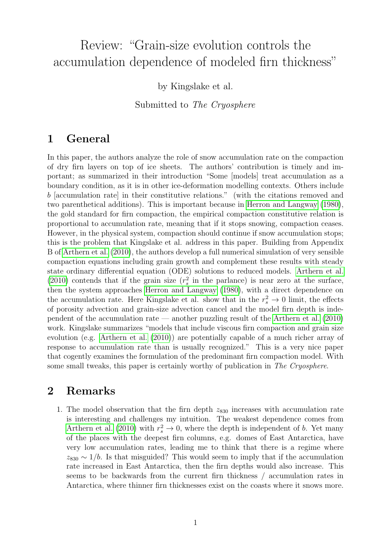# Review: "Grain-size evolution controls the accumulation dependence of modeled firn thickness"

by Kingslake et al.

Submitted to The Cryosphere

#### 1 General

In this paper, the authors analyze the role of snow accumulation rate on the compaction of dry firn layers on top of ice sheets. The authors' contribution is timely and important; as summarized in their introduction "Some [models] treat accumulation as a boundary condition, as it is in other ice-deformation modelling contexts. Others include b [accumulation rate] in their constitutive relations." (with the citations removed and two parenthetical additions). This is important because in [Herron and Langway](#page-1-0) [\(1980\)](#page-1-0), the gold standard for firn compaction, the empirical compaction constitutive relation is proportional to accumulation rate, meaning that if it stops snowing, compaction ceases. However, in the physical system, compaction should continue if snow accumulation stops; this is the problem that Kingslake et al. address in this paper. Building from Appendix B of [Arthern et al.](#page-1-1) [\(2010\)](#page-1-1), the authors develop a full numerical simulation of very sensible compaction equations including grain growth and complement these results with steady state ordinary differential equation (ODE) solutions to reduced models. [Arthern et al.](#page-1-1) [\(2010\)](#page-1-1) contends that if the grain size  $(r_s^2$  in the parlance) is near zero at the surface, then the system approaches [Herron and Langway](#page-1-0) [\(1980\)](#page-1-0), with a direct dependence on the accumulation rate. Here Kingslake et al. show that in the  $r_s^2 \to 0$  limit, the effects of porosity advection and grain-size advection cancel and the model firn depth is independent of the accumulation rate — another puzzling result of the [Arthern et al.](#page-1-1) [\(2010\)](#page-1-1) work. Kingslake summarizes "models that include viscous firn compaction and grain size evolution (e.g. [Arthern et al.](#page-1-1) [\(2010\)](#page-1-1)) are potentially capable of a much richer array of response to accumulation rate than is usually recognized." This is a very nice paper that cogently examines the formulation of the predominant firn compaction model. With some small tweaks, this paper is certainly worthy of publication in The Cryosphere.

#### 2 Remarks

1. The model observation that the firn depth  $z_{830}$  increases with accumulation rate is interesting and challenges my intuition. The weakest dependence comes from [Arthern et al.](#page-1-1) [\(2010\)](#page-1-1) with  $r_s^2 \to 0$ , where the depth is independent of b. Yet many of the places with the deepest firn columns, e.g. domes of East Antarctica, have very low accumulation rates, leading me to think that there is a regime where  $z_{830} \sim 1/b$ . Is that misguided? This would seem to imply that if the accumulation rate increased in East Antarctica, then the firn depths would also increase. This seems to be backwards from the current firn thickness / accumulation rates in Antarctica, where thinner firn thicknesses exist on the coasts where it snows more.